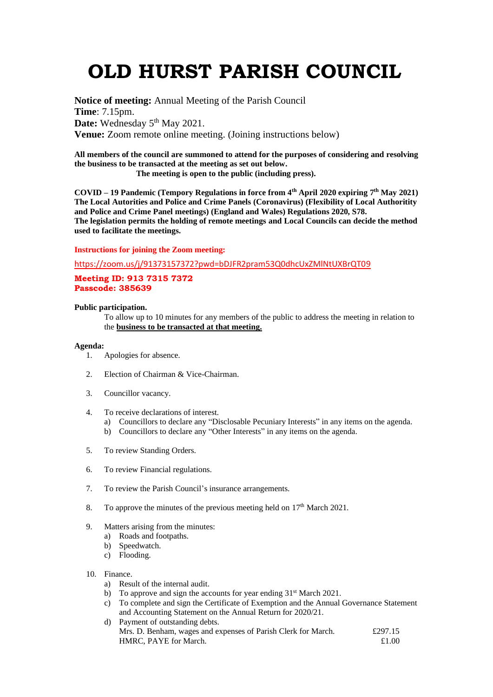# **OLD HURST PARISH COUNCIL**

**Notice of meeting:** Annual Meeting of the Parish Council **Time**: 7.15pm. Date: Wednesday 5<sup>th</sup> May 2021. **Venue:** Zoom remote online meeting. (Joining instructions below)

**All members of the council are summoned to attend for the purposes of considering and resolving the business to be transacted at the meeting as set out below.**

 **The meeting is open to the public (including press).**

**COVID – 19 Pandemic (Tempory Regulations in force from 4th April 2020 expiring 7 th May 2021) The Local Autorities and Police and Crime Panels (Coronavirus) (Flexibility of Local Authoritity and Police and Crime Panel meetings) (England and Wales) Regulations 2020, S78. The legislation permits the holding of remote meetings and Local Councils can decide the method used to facilitate the meetings.** 

### **Instructions for joining the Zoom meeting:**

<https://zoom.us/j/91373157372?pwd=bDJFR2pram53Q0dhcUxZMlNtUXBrQT09>

## **Meeting ID: 913 7315 7372 Passcode: 385639**

## **Public participation.**

To allow up to 10 minutes for any members of the public to address the meeting in relation to the **business to be transacted at that meeting.** 

#### **Agenda:**

- 1. Apologies for absence.
- 2. Election of Chairman & Vice-Chairman.
- 3. Councillor vacancy.
- 4. To receive declarations of interest.
	- a) Councillors to declare any "Disclosable Pecuniary Interests" in any items on the agenda.
	- b) Councillors to declare any "Other Interests" in any items on the agenda.
- 5. To review Standing Orders.
- 6. To review Financial regulations.
- 7. To review the Parish Council's insurance arrangements.
- 8. To approve the minutes of the previous meeting held on  $17<sup>th</sup>$  March 2021.
- 9. Matters arising from the minutes:
	- a) Roads and footpaths.
	- b) Speedwatch.
	- c) Flooding.
- 10. Finance.
	- a) Result of the internal audit.
	- b) To approve and sign the accounts for year ending 31<sup>st</sup> March 2021.
	- c) To complete and sign the Certificate of Exemption and the Annual Governance Statement and Accounting Statement on the Annual Return for 2020/21.
	- d) Payment of outstanding debts. Mrs. D. Benham, wages and expenses of Parish Clerk for March. £297.15 HMRC, PAYE for March.  $£1.00$